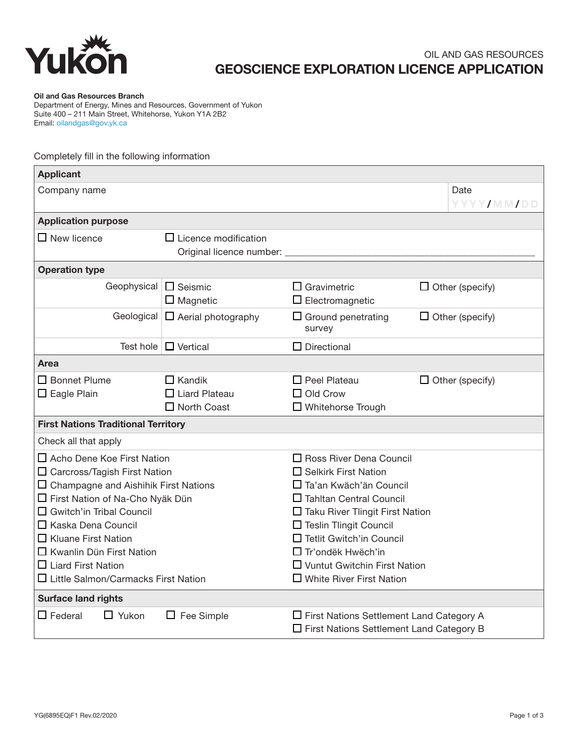

## OIL AND GAS RESOURCES GEOSCIENCE EXPLORATION LICENCE APPLICATION

Oil and Gas Resources Branch

Department of Energy, Mines and Resources, Government of Yukon Suite 400 – 211 Main Street, Whitehorse, Yukon Y1A 2B2 Email: oilandgas@gov.yk.ca

## Completely fill in the following information

| <b>Applicant</b>                                                                                                                                                                                                                                                                                                                                                               |                                                                                                                                                                                                                                                                                                                                                 |                                                                       |                        |                        |  |  |  |
|--------------------------------------------------------------------------------------------------------------------------------------------------------------------------------------------------------------------------------------------------------------------------------------------------------------------------------------------------------------------------------|-------------------------------------------------------------------------------------------------------------------------------------------------------------------------------------------------------------------------------------------------------------------------------------------------------------------------------------------------|-----------------------------------------------------------------------|------------------------|------------------------|--|--|--|
| Company name                                                                                                                                                                                                                                                                                                                                                                   |                                                                                                                                                                                                                                                                                                                                                 |                                                                       |                        | Date<br>YYYY/MM/DD     |  |  |  |
| <b>Application purpose</b>                                                                                                                                                                                                                                                                                                                                                     |                                                                                                                                                                                                                                                                                                                                                 |                                                                       |                        |                        |  |  |  |
| $\square$ New licence                                                                                                                                                                                                                                                                                                                                                          | $\Box$ Licence modification<br>Original licence number:                                                                                                                                                                                                                                                                                         |                                                                       |                        |                        |  |  |  |
| <b>Operation type</b>                                                                                                                                                                                                                                                                                                                                                          |                                                                                                                                                                                                                                                                                                                                                 |                                                                       |                        |                        |  |  |  |
| Geophysical                                                                                                                                                                                                                                                                                                                                                                    | $\Box$ Seismic<br>$\Box$ Magnetic                                                                                                                                                                                                                                                                                                               | $\Box$ Gravimetric<br>$\Box$ Electromagnetic                          |                        | $\Box$ Other (specify) |  |  |  |
|                                                                                                                                                                                                                                                                                                                                                                                | Geological $\Box$ Aerial photography                                                                                                                                                                                                                                                                                                            | $\Box$ Ground penetrating<br>survey                                   | $\Box$ Other (specify) |                        |  |  |  |
| Test hole                                                                                                                                                                                                                                                                                                                                                                      | $\Box$ Vertical                                                                                                                                                                                                                                                                                                                                 | $\Box$ Directional                                                    |                        |                        |  |  |  |
| Area                                                                                                                                                                                                                                                                                                                                                                           |                                                                                                                                                                                                                                                                                                                                                 |                                                                       |                        |                        |  |  |  |
| □ Bonnet Plume<br>$\Box$ Eagle Plain                                                                                                                                                                                                                                                                                                                                           | $\Box$ Kandik<br>$\Box$ Liard Plateau<br>$\Box$ North Coast                                                                                                                                                                                                                                                                                     | $\Box$ Peel Plateau<br>$\Box$ Old Crow<br>$\square$ Whitehorse Trough |                        | $\Box$ Other (specify) |  |  |  |
| <b>First Nations Traditional Territory</b>                                                                                                                                                                                                                                                                                                                                     |                                                                                                                                                                                                                                                                                                                                                 |                                                                       |                        |                        |  |  |  |
| Check all that apply                                                                                                                                                                                                                                                                                                                                                           |                                                                                                                                                                                                                                                                                                                                                 |                                                                       |                        |                        |  |  |  |
| $\square$ Acho Dene Koe First Nation<br>$\square$ Carcross/Tagish First Nation<br>$\Box$ Champagne and Aishihik First Nations<br>□ First Nation of Na-Cho Nyäk Dün<br>$\Box$ Gwitch'in Tribal Council<br>$\Box$ Kaska Dena Council<br>$\Box$ Kluane First Nation<br>$\Box$ Kwanlin Dün First Nation<br>$\Box$ Liard First Nation<br>$\Box$ Little Salmon/Carmacks First Nation | $\Box$ Ross River Dena Council<br>$\Box$ Selkirk First Nation<br>□ Ta'an Kwäch'än Council<br>$\Box$ Tahltan Central Council<br>$\Box$ Taku River Tlingit First Nation<br>$\Box$ Teslin Tlingit Council<br>$\Box$ Tetlit Gwitch'in Council<br>$\Box$ Tr'ondëk Hwëch'in<br>$\Box$ Vuntut Gwitchin First Nation<br>$\Box$ White River First Nation |                                                                       |                        |                        |  |  |  |
| <b>Surface land rights</b><br>$\square$ Federal<br>$\Box$ Yukon<br>$\Box$ Fee Simple<br>$\Box$ First Nations Settlement Land Category A<br>$\Box$ First Nations Settlement Land Category B                                                                                                                                                                                     |                                                                                                                                                                                                                                                                                                                                                 |                                                                       |                        |                        |  |  |  |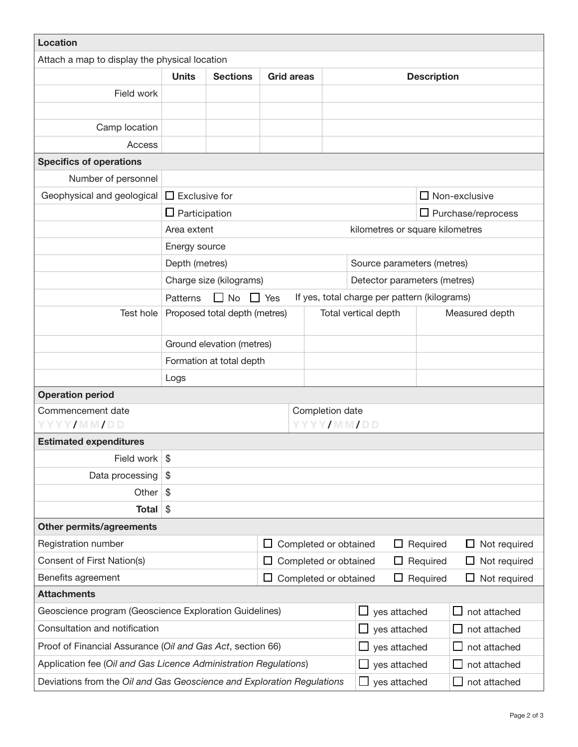| <b>Location</b>                                                        |                                                   |                               |                   |                                        |                                              |                    |                     |
|------------------------------------------------------------------------|---------------------------------------------------|-------------------------------|-------------------|----------------------------------------|----------------------------------------------|--------------------|---------------------|
| Attach a map to display the physical location                          |                                                   |                               |                   |                                        |                                              |                    |                     |
|                                                                        | <b>Units</b>                                      | <b>Sections</b>               | <b>Grid areas</b> |                                        |                                              | <b>Description</b> |                     |
| Field work                                                             |                                                   |                               |                   |                                        |                                              |                    |                     |
|                                                                        |                                                   |                               |                   |                                        |                                              |                    |                     |
| Camp location                                                          |                                                   |                               |                   |                                        |                                              |                    |                     |
| Access                                                                 |                                                   |                               |                   |                                        |                                              |                    |                     |
| <b>Specifics of operations</b>                                         |                                                   |                               |                   |                                        |                                              |                    |                     |
| Number of personnel                                                    |                                                   |                               |                   |                                        |                                              |                    |                     |
| Geophysical and geological                                             | $\Box$ Exclusive for<br>$\Box$ Non-exclusive      |                               |                   |                                        |                                              |                    |                     |
|                                                                        | $\Box$ Participation<br>$\Box$ Purchase/reprocess |                               |                   |                                        |                                              |                    |                     |
|                                                                        | kilometres or square kilometres<br>Area extent    |                               |                   |                                        |                                              |                    |                     |
|                                                                        | Energy source                                     |                               |                   |                                        |                                              |                    |                     |
|                                                                        | Depth (metres)                                    |                               |                   |                                        | Source parameters (metres)                   |                    |                     |
|                                                                        |                                                   | Charge size (kilograms)       |                   |                                        | Detector parameters (metres)                 |                    |                     |
|                                                                        | Patterns                                          | $\Box$ No $\Box$ Yes          |                   |                                        | If yes, total charge per pattern (kilograms) |                    |                     |
| Test hole                                                              |                                                   | Proposed total depth (metres) |                   | Total vertical depth<br>Measured depth |                                              |                    |                     |
|                                                                        |                                                   |                               |                   |                                        |                                              |                    |                     |
|                                                                        | Ground elevation (metres)                         |                               |                   |                                        |                                              |                    |                     |
|                                                                        |                                                   | Formation at total depth      |                   |                                        |                                              |                    |                     |
|                                                                        | Logs                                              |                               |                   |                                        |                                              |                    |                     |
| <b>Operation period</b>                                                |                                                   |                               |                   |                                        |                                              |                    |                     |
| Commencement date<br>YYYY/MM/DD                                        | Completion date<br>YYYY/MM/DD                     |                               |                   |                                        |                                              |                    |                     |
| <b>Estimated expenditures</b>                                          |                                                   |                               |                   |                                        |                                              |                    |                     |
| Field work                                                             | \$                                                |                               |                   |                                        |                                              |                    |                     |
| Data processing                                                        | \$                                                |                               |                   |                                        |                                              |                    |                     |
| Other                                                                  | $\mathfrak{S}$                                    |                               |                   |                                        |                                              |                    |                     |
| <b>Total</b>                                                           | $\frac{1}{2}$                                     |                               |                   |                                        |                                              |                    |                     |
| <b>Other permits/agreements</b>                                        |                                                   |                               |                   |                                        |                                              |                    |                     |
| Registration number                                                    |                                                   |                               | $\Box$            | Completed or obtained                  | ப                                            | Required           | $\Box$ Not required |
| Consent of First Nation(s)                                             | Completed or obtained<br>ப                        |                               | ப                 | Required                               | Not required                                 |                    |                     |
| Benefits agreement                                                     | Completed or obtained<br>ப                        |                               |                   | ப                                      | Required                                     | Not required       |                     |
| <b>Attachments</b>                                                     |                                                   |                               |                   |                                        |                                              |                    |                     |
| Geoscience program (Geoscience Exploration Guidelines)                 |                                                   |                               |                   | yes attached                           | not attached                                 |                    |                     |
| Consultation and notification                                          |                                                   |                               | $\blacksquare$    | yes attached                           | not attached                                 |                    |                     |
| Proof of Financial Assurance (Oil and Gas Act, section 66)             |                                                   |                               |                   | yes attached                           | not attached                                 |                    |                     |
| Application fee (Oil and Gas Licence Administration Regulations)       |                                                   |                               |                   | yes attached                           | not attached                                 |                    |                     |
| Deviations from the Oil and Gas Geoscience and Exploration Regulations |                                                   |                               |                   |                                        | yes attached                                 | not attached       |                     |